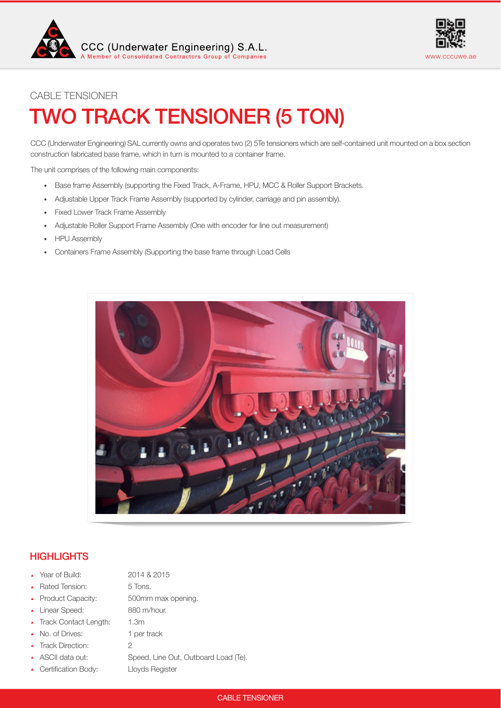



# TWO TRACK TENSIONER (5 TON) CABLE TENSIONER

CCC (Underwater Engineering) SAL currently owns and operates two (2) 5Te tensioners which are self-contained unit mounted on a box section construction fabricated base frame, which in turn is mounted to a container frame.

The unit comprises of the following main components:

- Base frame Assembly (supporting the Fixed Track, A-Frame, HPU, MCC & Roller Support Brackets.
- Adjustable Upper Track Frame Assembly (supported by cylinder, carriage and pin assembly).
- Fixed Lower Track Frame Assembly
- Adjustable Roller Support Frame Assembly (One with encoder for line out measurement)
- HPU Assembly
- Containers Frame Assembly (Supporting the base frame through Load Cells



# **HIGHLIGHTS**

- Year of Build: 2014 & 2015
- ▲ Rated Tension: 5 Tons.
- 
- Linear Speed: 880 m/hour.
- Track Contact Length: 1.3m
- 
- ▲ Track Direction: 2
- 
- ▲ Certification Body: Lloyds Register

Product Capacity: 500mm max opening. • No. of Drives: 1 per track ASCII data out: Speed, Line Out, Outboard Load (Te).

## CABLE TENSIONER